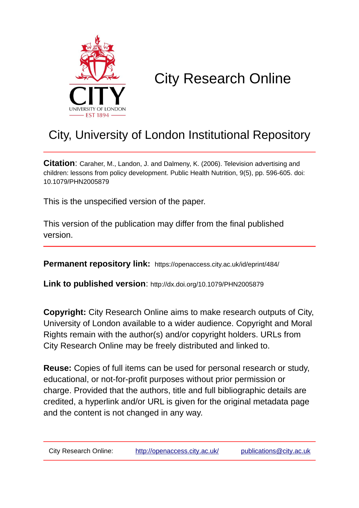

# City Research Online

## City, University of London Institutional Repository

**Citation**: Caraher, M., Landon, J. and Dalmeny, K. (2006). Television advertising and children: lessons from policy development. Public Health Nutrition, 9(5), pp. 596-605. doi: 10.1079/PHN2005879

This is the unspecified version of the paper.

This version of the publication may differ from the final published version.

**Permanent repository link:** https://openaccess.city.ac.uk/id/eprint/484/

**Link to published version**: http://dx.doi.org/10.1079/PHN2005879

**Copyright:** City Research Online aims to make research outputs of City, University of London available to a wider audience. Copyright and Moral Rights remain with the author(s) and/or copyright holders. URLs from City Research Online may be freely distributed and linked to.

**Reuse:** Copies of full items can be used for personal research or study, educational, or not-for-profit purposes without prior permission or charge. Provided that the authors, title and full bibliographic details are credited, a hyperlink and/or URL is given for the original metadata page and the content is not changed in any way.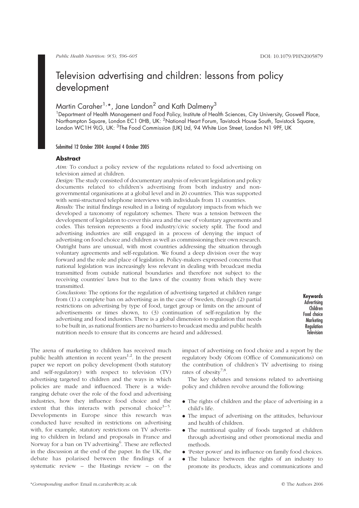### Television advertising and children: lessons from policy development

### Martin Caraher<sup>1,\*</sup>, Jane Landon<sup>2</sup> and Kath Dalmeny<sup>3</sup>

<sup>1</sup>Department of Health Management and Food Policy, Institute of Health Sciences, City University, Goswell Place, Northampton Square, London EC1 OHB, UK: <sup>2</sup>National Heart Forum, Tavistock House South, Tavistock Square, London WC1H 9LG, UK: <sup>3</sup>The Food Commission (UK) Ltd, 94 White Lion Street, London N1 9PF, UK

Submitted 12 October 2004: Accepted 4 October 2005

#### **Abstract**

Aim: To conduct a policy review of the regulations related to food advertising on television aimed at children.

Design: The study consisted of documentary analysis of relevant legislation and policy documents related to children's advertising from both industry and nongovernmental organisations at a global level and in 20 countries. This was supported with semi-structured telephone interviews with individuals from 11 countries.

Results: The initial findings resulted in a listing of regulatory impacts from which we developed a taxonomy of regulatory schemes. There was a tension between the development of legislation to cover this area and the use of voluntary agreements and codes. This tension represents a food industry/civic society split. The food and advertising industries are still engaged in a process of denying the impact of advertising on food choice and children as well as commissioning their own research. Outright bans are unusual, with most countries addressing the situation through voluntary agreements and self-regulation. We found a deep division over the way forward and the role and place of legislation. Policy-makers expressed concerns that national legislation was increasingly less relevant in dealing with broadcast media transmitted from outside national boundaries and therefore not subject to the receiving countries' laws but to the laws of the country from which they were transmitted.

Conclusions: The options for the regulation of advertising targeted at children range from (1) a complete ban on advertising as in the case of Sweden, through (2) partial restrictions on advertising by type of food, target group or limits on the amount of advertisements or times shown, to (3) continuation of self-regulation by the advertising and food industries. There is a global dimension to regulation that needs to be built in, as national frontiers are no barriers to broadcast media and public health nutrition needs to ensure that its concerns are heard and addressed.

Keywords **Advertising** Children Food choice **Marketing** Regulation **Television** 

The arena of marketing to children has received much public health attention in recent years<sup>1,2</sup>. In the present paper we report on policy development (both statutory and self-regulatory) with respect to television (TV) advertising targeted to children and the ways in which policies are made and influenced. There is a wideranging debate over the role of the food and advertising industries, how they influence food choice and the extent that this interacts with personal choice<sup>3–5</sup>. Developments in Europe since this research was conducted have resulted in restrictions on advertising with, for example, statutory restrictions on TV advertising to children in Ireland and proposals in France and Norway for a ban on TV advertising<sup>6</sup>. These are reflected in the discussion at the end of the paper. In the UK, the debate has polarised between the findings of a systematic review – the Hastings review – on the impact of advertising on food choice and a report by the regulatory body Ofcom (Office of Communications) on the contribution of children's TV advertising to rising rates of obesity<sup>7,8</sup>.

The key debates and tensions related to advertising policy and children revolve around the following:

- . The rights of children and the place of advertising in a child's life.
- . The impact of advertising on the attitudes, behaviour and health of children.
- . The nutritional quality of foods targeted at children through advertising and other promotional media and methods.
- . 'Pester power' and its influence on family food choices.
- . The balance between the rights of an industry to promote its products, ideas and communications and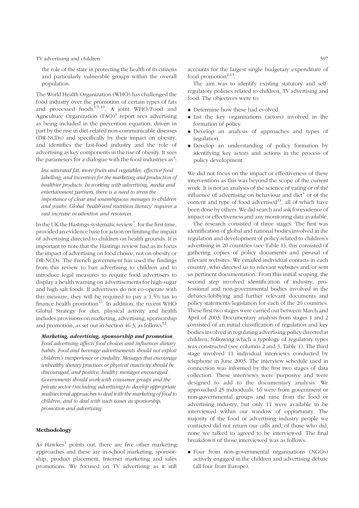TV advertising and children 597

the role of the state in protecting the health of its citizens and particularly vulnerable groups within the overall population.

The World Health Organization (WHO) has challenged the food industry over the promotion of certain types of fats and processed foods $3,9,10$ . A joint WHO/Food and Agriculture Organization  $(FAO)^3$  report sees advertising as being included in the prevention equation, driven in part by the rise in diet-related non-communicable diseases (DR-NCDs) and specifically by their impact on obesity, and identifies the fast-food industry and the role of advertising as key components in the rise of obesity. It sees the parameters for a dialogue with the food industries  $as^3$ :

less saturated fat; more fruits and vegetables; effective food labelling; and incentives for the marketing and production of healthier products. In working with advertising, media and entertainment partners, there is a need to stress the importance of clear and unambiguous messages to children and youths. Global 'health and nutrition literacy' requires a vast increase in attention and resources.

In the UK the Hastings systematic review<sup>7</sup>, for the first time, provided an evidence base for action on limiting the impact of advertising directed to children on health grounds. It is important to note that the Hastings review had as its focus the impact of advertising on food choice, not on obesity or DR-NCDs. The French government has used the findings from this review to ban advertising to children and to introduce legal measures to require food advertisers to display a health warning on advertisements for high-sugar and high-salt foods. If advertisers do not co-operate with this measure, they will be required to pay a 1.5% tax to finance health promotion $^{11}$ . In addition, the recent WHO Global Strategy for diet, physical activity and health includes provisions on marketing, advertising, sponsorship and promotion, as set out in Section 46.3, as follows<sup>12</sup>:

#### Marketing, advertising, sponsorship and promotion.

Food advertising affects food choices and influences dietary habits. Food and beverage advertisements should not exploit children's inexperience or credulity. Messages that encourage unhealthy dietary practices or physical inactivity should be discouraged, and positive, healthy messages encouraged. Governments should work with consumer groups and the private sector (including advertising) to develop appropriate multisectoral approaches to deal with the marketing of food to children, and to deal with such issues as sponsorship, promotion and advertising.

#### Methodology

As  $Hawkes<sup>1</sup>$  points out, there are five other marketing approaches and these are in-school marketing, sponsorship, product placement, Internet marketing and sales promotions. We focused on TV advertising as it still

accounts for the largest single budgetary expenditure of food promotion<sup> $2,13$ </sup>.

The aim was to identify existing statutory and selfregulatory policies related to children, TV advertising and food. The objectives were to:

- . Determine how these had evolved.
- . List the key organisations (actors) involved in the formation of policy.
- . Develop an analysis of approaches and types of regulation.
- . Develop an understanding of policy formation by identifying key actors and actions in the process of policy development.

We did not focus on the impact or effectiveness of these interventions as this was beyond the scope of the current work. It is not an analysis of the science of eating or of the influence of advertising on behaviour and diet<sup>1</sup> or of the content and type of food advertised $14$ , all of which have been done by others. We did search and ask for evidence of impact or effectiveness and any monitoring data available.

The research consisted of three stages. The first was identification of global and national bodies involved in the regulation and development of policy related to children's advertising in 20 countries (see [Table 1\)](#page-4-0); this consisted of gathering copies of policy documents and perusal of relevant websites. We emailed individual contacts in each country, who directed us to relevant websites and/or sent us pertinent documentation. From this initial scoping, the second step involved identification of industry, professional and non-governmental bodies involved in the debates/lobbying and further relevant documents and policy statements/legislation for each of the 20 countries. These first two stages were carried out between March and April of 2003. Documentary analysis from stages 1 and 2 consisted of an initial classification of regulation and key bodies involved in regulating advertising policy directed at children, following which a typology of regulatory types was constructed (see columns 2 and 3, [Table 1\)](#page-4-0). The third stage involved 11 individual interviews conducted by telephone in June 2003. The interview schedule used in connection was informed by the first two stages of data collection. These interviews were purposive and were designed to add to the documentary analysis. We approached 25 individuals, 16 were from government or non-governmental groups and nine from the food or advertising industry, but only 11 were available to be interviewed within our window of opportunity. The majority of the food or advertising industry people we contacted did not return our calls and, of those who did, none we talked to agreed to be interviewed. The final breakdown of those interviewed was as follows:

. Four from non-governmental organisations (NGOs) actively engaged in the children and advertising debate (all four from Europe).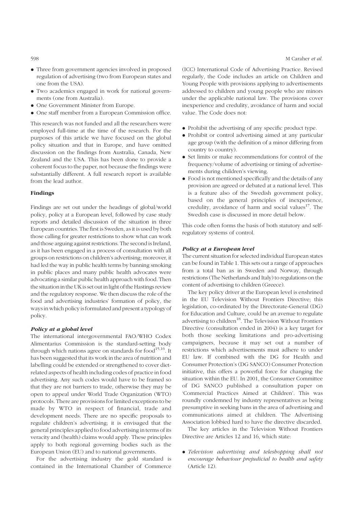- . Three from government agencies involved in proposed regulation of advertising (two from European states and one from the USA).
- . Two academics engaged in work for national governments (one from Australia).
- . One Government Minister from Europe.
- . One staff member from a European Commission office.

This research was not funded and all the researchers were employed full-time at the time of the research. For the purposes of this article we have focused on the global policy situation and that in Europe, and have omitted discussion on the findings from Australia, Canada, New Zealand and the USA. This has been done to provide a coherent focus to the paper, not because the findings were substantially different. A full research report is available from the lead author.

#### Findings

Findings are set out under the headings of global/world policy, policy at a European level, followed by case study reports and detailed discussion of the situation in three European countries. The first is Sweden, as it is used by both those calling for greater restrictions to show what can work and those arguing against restrictions. The second is Ireland, as it has been engaged in a process of consultation with all groups on restrictions on children's advertising; moreover, it had led the way in public health terms by banning smoking in public places and many public health advocates were advocating a similar public health approach with food.Then the situation in the UK is set out in light of the Hastings review and the regulatory response. We then discuss the role of the food and advertising industries' formation of policy, the ways in which policy is formulated and present a typology of policy.

#### Policy at a global level

The international intergovernmental FAO/WHO Codex Alimentarius Commission is the standard-setting body through which nations agree on standards for food<sup>15,16</sup>. It has been suggested that its work in the area of nutrition and labelling could be extended or strengthened to cover dietrelated aspects of health including codes of practice in food advertising. Any such codes would have to be framed so that they are not barriers to trade, otherwise they may be open to appeal under World Trade Organization (WTO) protocols. There are provisions for limited exceptions to be made by WTO in respect of financial, trade and development needs. There are no specific proposals to regulate children's advertising; it is envisaged that the general principles applied to food advertising in terms of its veracity and (health) claims would apply. These principles apply to both regional governing bodies such as the European Union (EU) and to national governments.

For the advertising industry the gold standard is contained in the International Chamber of Commerce

(ICC) International Code of Advertising Practice. Revised regularly, the Code includes an article on Children and Young People with provisions applying to advertisements addressed to children and young people who are minors under the applicable national law. The provisions cover inexperience and credulity, avoidance of harm and social value. The Code does not:

- . Prohibit the advertising of any specific product type.
- . Prohibit or control advertising aimed at any particular age group (with the definition of a minor differing from country to country).
- . Set limits or make recommendations for control of the frequency/volume of advertising or timing of advertisements during children's viewing.
- . Food is not mentioned specifically and the details of any provision are agreed or debated at a national level. This is a feature also of the Swedish government policy, based on the general principles of inexperience, credulity, avoidance of harm and social values $17$ . The Swedish case is discussed in more detail below.

This code often forms the basis of both statutory and selfregulatory systems of control.

#### Policy at a European level

The current situation for selected individual European states can be found in [Table 1.](#page-4-0) This sets out a range of approaches from a total ban as in Sweden and Norway, through restrictions (The Netherlands and Italy) to regulations on the content of advertising to children (Greece).

The key policy driver at the European level is enshrined in the EU Television Without Frontiers Directive; this legislation, co-ordinated by the Directorate-General (DG) for Education and Culture, could be an avenue to regulate advertising to children<sup>18</sup>. The Television Without Frontiers Directive (consultation ended in 2004) is a key target for both those seeking limitations and pro-advertising campaigners, because it may set out a number of restrictions which advertisements must adhere to under EU law. If combined with the DG for Health and Consumer Protection's (DG SANCO) Consumer Protection initiative, this offers a powerful force for changing the situation within the EU. In 2001, the Consumer Committee of DG SANCO published a consultation paper on 'Commercial Practices Aimed at Children'. This was roundly condemned by industry representatives as being presumptive in seeking bans in the area of advertising and communications aimed at children. The Advertising Association lobbied hard to have the directive discarded.

The key articles in the Television Without Frontiers Directive are Articles 12 and 16, which state:

. Television advertising and teleshopping shall not encourage behaviour prejudicial to health and safety (Article 12).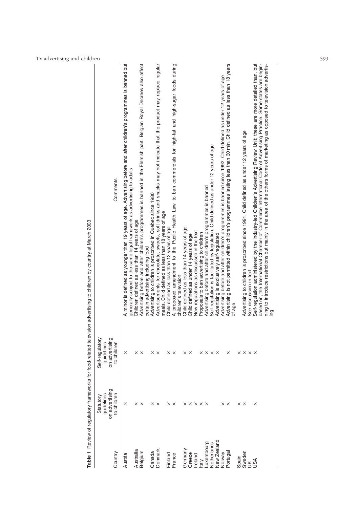<span id="page-4-0"></span>

| TV advertising and children                                 |                                                                |                                                                                                                                                                                                |                                                                                                                                                                                                            |                                                                                                                                                                                                                                       |                                                                                                                                                                                  |                                                                                                                                                                                                                                                                                                                                                                                                                                                                                                                                                                                                                                            |                                                                                                                                                                                                                                                                                                                                                                                                                                                                                                        |  |
|-------------------------------------------------------------|----------------------------------------------------------------|------------------------------------------------------------------------------------------------------------------------------------------------------------------------------------------------|------------------------------------------------------------------------------------------------------------------------------------------------------------------------------------------------------------|---------------------------------------------------------------------------------------------------------------------------------------------------------------------------------------------------------------------------------------|----------------------------------------------------------------------------------------------------------------------------------------------------------------------------------|--------------------------------------------------------------------------------------------------------------------------------------------------------------------------------------------------------------------------------------------------------------------------------------------------------------------------------------------------------------------------------------------------------------------------------------------------------------------------------------------------------------------------------------------------------------------------------------------------------------------------------------------|--------------------------------------------------------------------------------------------------------------------------------------------------------------------------------------------------------------------------------------------------------------------------------------------------------------------------------------------------------------------------------------------------------------------------------------------------------------------------------------------------------|--|
| advertising to children by country at March 2003            | Comments                                                       | A minor is defined as younger than 19 years of age. Advertising before and after children's programmes is banned but<br>generally subject to the same legal framework as advertising to adults | Advertising before and after children's programmes is banned in the Flemish part. Belgian Royal Decrees also affect<br>Children defined as less than 14 years of age<br>certain advertising including food | Advertisements for chocolate, sweets, soft drinks and snacks may not indicate that the product may replace regular<br>Advertising to children is proscribed in Quebec since 1980<br>meals. Child defined as less than 18 years of age | A proposed amendment to the Public Health Law to ban commercials for high-fat and high-sugar foods during<br>Child defined as less than 12 years of age<br>children's television | Advertising is not permitted within children's programmes lasting less than 30 min. Child defined as less than 18 years<br>Advertising before and after children's programmes is banned since 1992. Child defined as under 12 years of age<br>Self-regulation is facilitated by legislation. Child defined as under 12 years of age<br>Advertising before and after children's programmes is banned<br>Child defined as less than 14 years of age<br>New regulations as discussed in the text<br>Proposals to ban advertising to children<br>Advertising is exclusively self-regulated<br>Child defined as under 14 years of age<br>of age | Self-regulation administered by the industry-led Children's Advertising Review Unit; these are more detailed than, but<br>based on, the International Chamber of Commerce International Code of Advertising Practice. Some states are begin-<br>ning to introduce restrictions but mainly in the area of the others forms of marketing as opposed to television advertis-<br>Advertising to children is proscribed since 1991. Child defined as under 12 years of age<br>See discussion in text<br>leg |  |
|                                                             | on advertising<br>Self-regulatory<br>guidelines<br>to children | ×                                                                                                                                                                                              | $\times$ $\times$                                                                                                                                                                                          | $\times$ $\times$                                                                                                                                                                                                                     | $\times$ $\times$                                                                                                                                                                | $\times$ $\times$ $\times$ $\times$<br>$\times$ $\times$<br>$\times$                                                                                                                                                                                                                                                                                                                                                                                                                                                                                                                                                                       | $\times$ $\times$ $\times$ $\times$                                                                                                                                                                                                                                                                                                                                                                                                                                                                    |  |
| Review of regulatory frameworks for food-related television | on advertising<br>to children<br>guidelines<br>Statutory       | ×                                                                                                                                                                                              | $\times$ $\times$                                                                                                                                                                                          | $\times$ $\times$                                                                                                                                                                                                                     | $\times$ $\times$                                                                                                                                                                | $\times$ $\times$ $\times$ $\times$ $\times$<br>$\times$ $\times$<br>$\times$ $\times$                                                                                                                                                                                                                                                                                                                                                                                                                                                                                                                                                     | $\times$                                                                                                                                                                                                                                                                                                                                                                                                                                                                                               |  |
| Table 1                                                     | Country                                                        | Austria                                                                                                                                                                                        | Australia<br>Belgium                                                                                                                                                                                       | Denmark<br>Canada                                                                                                                                                                                                                     | Finland<br>France                                                                                                                                                                | <b>New Zealand</b><br>uxembourg<br>Netherlands<br>Germany<br>Portugal<br>Norway<br>Greece<br>reland<br>Spain<br>taly                                                                                                                                                                                                                                                                                                                                                                                                                                                                                                                       | Sweden<br><b>ASU</b><br>$\leq$                                                                                                                                                                                                                                                                                                                                                                                                                                                                         |  |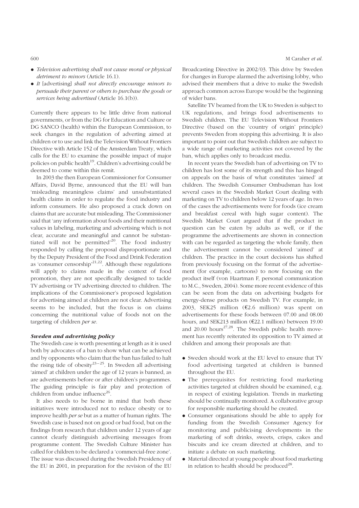- . Television advertising shall not cause moral or physical detriment to minors (Article 16.1).
- . It [advertising] shall not directly encourage minors to persuade their parent or others to purchase the goods or services being advertised (Article 16.1(b)).

Currently there appears to be little drive from national governments, or from the DG for Education and Culture or DG SANCO (health) within the European Commission, to seek changes in the regulation of adverting aimed at children or to use and link the Television Without Frontiers Directive with Article 152 of the Amsterdam Treaty, which calls for the EU to examine the possible impact of major policies on public health<sup>19</sup>. Children's advertising could be deemed to come within this remit.

In 2003 the then European Commissioner for Consumer Affairs, David Byrne, announced that the EU will ban 'misleading meaningless claims' and unsubstantiated health claims in order to regulate the food industry and inform consumers. He also proposed a crack down on claims that are accurate but misleading. The Commissioner said that 'any information about foods and their nutritional values in labeling, marketing and advertising which is not clear, accurate and meaningful and cannot be substantiated will not be permitted<sup> $20$ </sup>. The food industry responded by calling the proposal disproportionate and by the Deputy President of the Food and Drink Federation as 'consumer censorship'<sup>21,22</sup>. Although these regulations will apply to claims made in the context of food promotion, they are not specifically designed to tackle TV advertising or TV advertising directed to children. The implications of the Commissioner's proposed legislation for advertising aimed at children are not clear. Advertising seems to be included, but the focus is on claims concerning the nutritional value of foods not on the targeting of children per se.

#### Sweden and advertising policy

The Swedish case is worth presenting at length as it is used both by advocates of a ban to show what can be achieved and by opponents who claim that the ban has failed to halt the rising tide of obesity<sup>23–25</sup>. In Sweden all advertising 'aimed' at children under the age of 12 years is banned, as are advertisements before or after children's programmes. The guiding principle is fair play and protection of children from undue influence $^{26}$ .

It also needs to be borne in mind that both these initiatives were introduced not to reduce obesity or to improve health per se but as a matter of human rights. The Swedish case is based not on good or bad food, but on the findings from research that children under 12 years of age cannot clearly distinguish advertising messages from programme content. The Swedish Culture Minister has called for children to be declared a 'commercial-free zone'. The issue was discussed during the Swedish Presidency of the EU in 2001, in preparation for the revision of the EU Broadcasting Directive in 2002/03. This drive by Sweden for changes in Europe alarmed the advertising lobby, who advised their members that a drive to make the Swedish approach common across Europe would be the beginning of wider bans.

Satellite TV beamed from the UK to Sweden is subject to UK regulations, and brings food advertisements to Swedish children. The EU Television Without Frontiers Directive (based on the 'country of origin' principle) prevents Sweden from stopping this advertising. It is also important to point out that Swedish children are subject to a wide range of marketing activities not covered by the ban, which applies only to broadcast media.

In recent years the Swedish ban of advertising on TV to children has lost some of its strength and this has hinged on appeals on the basis of what constitutes 'aimed' at children. The Swedish Consumer Ombudsman has lost several cases in the Swedish Market Court dealing with marketing on TV to children below 12 years of age. In two of the cases the advertisements were for foods (ice cream and breakfast cereal with high sugar content). The Swedish Market Court argued that if the product in question can be eaten by adults as well, or if the programme the advertisements are shown in connection with can be regarded as targeting the whole family, then the advertisement cannot be considered 'aimed' at children. The practice in the court decisions has shifted from previously focusing on the format of the advertisement (for example, cartoons) to now focusing on the product itself (von Haartman F, personal communication to M.C., Sweden, 2004). Some more recent evidence of this can be seen from the data on advertising budgets for energy-dense products on Swedish TV. For example, in 2003, SEK25 million ( $E2.6$  million) was spent on advertisements for these foods between 07.00 and 08.00 hours, and SEK213 million ( $\epsilon$ 22.1 million) between 19.00 and  $20.00$  hours<sup>27,28</sup>. The Swedish public health movement has recently reiterated its opposition to TV aimed at children and among their proposals are that:

- . Sweden should work at the EU level to ensure that TV food advertising targeted at children is banned throughout the EU.
- . The prerequisites for restricting food marketing activities targeted at children should be examined, e.g. in respect of existing legislation. Trends in marketing should be continually monitored. A collaborative group for responsible marketing should be created.
- . Consumer organisations should be able to apply for funding from the Swedish Consumer Agency for monitoring and publicising developments in the marketing of soft drinks, sweets, crisps, cakes and biscuits and ice cream directed at children, and to initiate a debate on such marketing.
- . Material directed at young people about food marketing in relation to health should be produced $^{28}$ .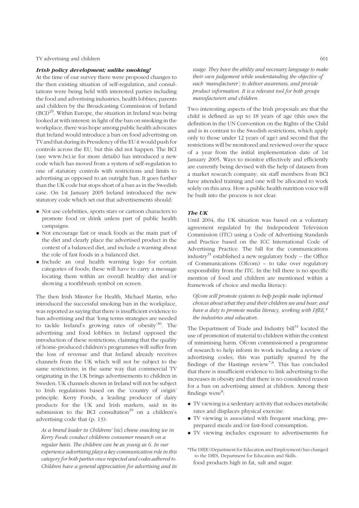#### TV advertising and children 601

#### Irish policy development; unlike smoking!

At the time of our survey there were proposed changes to the then existing situation of self-regulation, and consultations were being held with interested parties including the food and advertising industries, health lobbies, parents and children by the Broadcasting Commission of Ireland  $(BCI)<sup>29</sup>$ . Within Europe, the situation in Ireland was being looked at with interest: in light of the ban on smoking in the workplace, there was hope among public health advocates that Ireland would introduce a ban on food advertising on TV and that during its Presidency of the EU it would push for controls across the EU, but this did not happen. The BCI (see www.bci.ie for more details) has introduced a new code which has moved from a system of self-regulation to one of statutory controls with restrictions and limits to advertising as opposed to an outright ban. It goes further than the UK code but stops short of a ban as in the Swedish case. On 1st January 2005 Ireland introduced the new statutory code which set out that advertisements should:

- . Not use celebrities, sports stars or cartoon characters to promote food or drink unless part of public health campaigns.
- . Not encourage fast or snack foods as the main part of the diet and clearly place the advertised product in the context of a balanced diet, and include a warning about the role of fast foods in a balanced diet.
- . Include an oral health warning logo for certain categories of foods; these will have to carry a message locating them within an overall healthy diet and/or showing a toothbrush symbol on screen.

The then Irish Minster for Health, Michael Martin, who introduced the successful smoking ban in the workplace, was reported as saying that there is insufficient evidence to ban advertising and that 'long terms strategies are needed to tackle Ireland's growing rates of obesity<sup>30</sup>. The advertising and food lobbies in Ireland opposed the introduction of these restrictions, claiming that the quality of home-produced children's programmes will suffer from the loss of revenue and that Ireland already receives channels from the UK which will not be subject to the same restrictions; in the same way that commercial TV originating in the UK brings advertisements to children in Sweden. UK channels shown in Ireland will not be subject to Irish regulations based on the 'country of origin' principle. Kerry Foods, a leading producer of dairy products for the UK and Irish markets, said in its submission to the BCI consultation<sup>29</sup> on a children's advertising code that (p. 13):

As a brand leader in Childrens' [sic] cheese snacking we in Kerry Foods conduct childrens consumer research on a regular basis. The children can be as young as 6. In our experience advertising plays a key communication role in this category for both parties once respected and codes adhered to. Children have a general appreciation for advertising and its

usage. They have the ability and necessary language to make their own judgement while understanding the objective of each 'manufacturer'; to deliver awareness, and provide product information. It is a relevant tool for both groups manufacturers and children.

Two interesting aspects of the Irish proposals are that the child is defined as up to 18 years of age (this uses the definition in the UN Convention on the Rights of the Child and is in contrast to the Swedish restrictions, which apply only to those under 12 years of age) and second that the restrictions will be monitored and reviewed over the space of a year from the initial implementation date of 1st January 2005. Ways to monitor effectively and efficiently are currently being devised with the help of datasets from a market research company; six staff members from BCI have attended training and one will be allocated to work solely on this area. How a public health nutrition voice will be built into the process is not clear.

#### The UK

Until 2004, the UK situation was based on a voluntary agreement regulated by the Independent Television Commission (ITC) using a Code of Advertising Standards and Practice based on the ICC International Code of Advertising Practice. The bill for the communications industry $31$  established a new regulatory body – the Office of Communications (Ofcom) – to take over regulatory responsibility from the ITC. In the bill there is no specific mention of food and children are mentioned within a framework of choice and media literacy:

Ofcom will promote systems to help people make informed choices about what they and their children see and hear; and have a duty to promote media literacy, working with  $\text{DfEE}, *$ the industries and educators.

The Department of Trade and Industry  $\text{bill}^{31}$  located the use of promotion of material to children within the context of minimising harm. Ofcom commissioned a programme of research to help inform its work including a review of advertising codes; this was partially spurred by the findings of the Hastings review<sup>7,8</sup>. This has concluded that there is insufficient evidence to link advertising to the increases in obesity and that there is no considered reason for a ban on advertising aimed at children. Among their findings were $\mathrm{^{8}}:$ 

- . TV viewing is a sedentary activity that reduces metabolic rates and displaces physical exercise.
- . TV viewing is associated with frequent snacking, preprepared meals and/or fast-food consumption.
- . TV viewing includes exposure to advertisements for
- food products high in fat, salt and sugar. \*The DfEE (Department for Education and Employment) has changed to the DfES, Department for Education and Skills.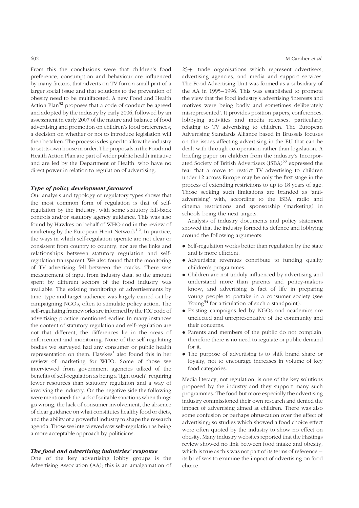From this the conclusions were that children's food preference, consumption and behaviour are influenced by many factors, that adverts on TV form a small part of a larger social issue and that solutions to the prevention of obesity need to be multifaceted. A new Food and Health Action Plan $32$  proposes that a code of conduct be agreed and adopted by the industry by early 2006, followed by an assessment in early 2007 of the nature and balance of food advertising and promotion on children's food preferences; a decision on whether or not to introduce legislation will then betaken. The process is designed to allow the industry to set its own house in order. The proposals in the Food and Health Action Plan are part of wider public health initiative and are led by the Department of Health, who have no direct power in relation to regulation of advertising.

#### Type of policy development favoured

Our analysis and typology of regulatory types shows that the most common form of regulation is that of selfregulation by the industry, with some statutory fall-back controls and/or statutory agency guidance. This was also found by Hawkes on behalf of WHO and in the review of marketing by the European Heart Network $1,2$ . In practice, the ways in which self-regulation operate are not clear or consistent from country to country, nor are the links and relationships between statutory regulation and selfregulation transparent. We also found that the monitoring of TV advertising fell between the cracks. There was measurement of input from industry data, so the amount spent by different sectors of the food industry was available. The existing monitoring of advertisements by time, type and target audience was largely carried out by campaigning NGOs, often to stimulate policy action. The self-regulating frameworks are informed by the ICC code of advertising practice mentioned earlier. In many instances the content of statutory regulation and self-regulation are not that different, the differences lie in the areas of enforcement and monitoring. None of the self-regulating bodies we surveyed had any consumer or public health representation on them. Hawkes<sup>1</sup> also found this in her review of marketing for WHO. Some of those we interviewed from government agencies talked of the benefits of self-regulation as being a 'light touch', requiring fewer resources than statutory regulation and a way of involving the industry. On the negative side the following were mentioned: the lack of suitable sanctions when things go wrong, the lack of consumer involvement, the absence of clear guidance on what constitutes healthy food or diets, and the ability of a powerful industry to shape the research agenda. Those we interviewed saw self-regulation as being a more acceptable approach by politicians.

#### The food and advertising industries' response

One of the key advertising lobby groups is the Advertising Association (AA); this is an amalgamation of

#### 602 M Caraher et al.

25+ trade organisations which represent advertisers, advertising agencies, and media and support services. The Food Advertising Unit was formed as a subsidiary of the AA in 1995–1996. This was established to promote the view that the food industry's advertising 'interests and motives were being badly and sometimes deliberately misrepresented'. It provides position papers, conferences, lobbying activities and media releases, particularly relating to TV advertising to children. The European Advertising Standards Alliance based in Brussels focuses on the issues affecting advertising in the EU that can be dealt with through co-operation rather than legislation. A briefing paper on children from the industry's Incorporated Society of British Advertisers (ISBA)<sup>33</sup> expressed the fear that a move to restrict TV advertising to children under 12 across Europe may be only the first stage in the process of extending restrictions to up to 18 years of age. Those seeking such limitations are branded as 'antiadvertising' with, according to the ISBA, radio and cinema restrictions and sponsorship (marketing) in schools being the next targets.

Analysis of industry documents and policy statement showed that the industry formed its defence and lobbying around the following arguments:

- . Self-regulation works better than regulation by the state and is more efficient.
- . Advertising revenues contribute to funding quality children's programmes.
- . Children are not unduly influenced by advertising and understand more than parents and policy-makers know, and advertising is fact of life in preparing young people to partake in a consumer society (see Young<sup>34</sup> for articulation of such a standpoint).
- . Existing campaigns led by NGOs and academics are unelected and unrepresentative of the community and their concerns.
- . Parents and members of the public do not complain; therefore there is no need to regulate or public demand for it.
- . The purpose of advertising is to shift brand share or loyalty, not to encourage increases in volume of key food categories.

Media literacy, not regulation, is one of the key solutions proposed by the industry and they support many such programmes. The food but more especially the advertising industry commissioned their own research and denied the impact of advertising aimed at children. There was also some confusion or perhaps obfuscation over the effect of advertising; so studies which showed a food choice effect were often quoted by the industry to show no effect on obesity. Many industry websites reported that the Hastings review showed no link between food intake and obesity, which is true as this was not part of its terms of reference – its brief was to examine the impact of advertising on food choice.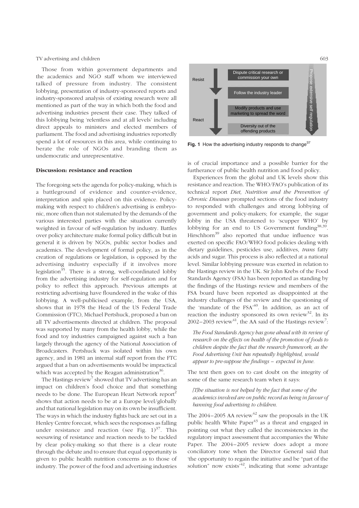Those from within government departments and the academics and NGO staff whom we interviewed talked of pressure from industry. The consistent lobbying, presentation of industry-sponsored reports and industry-sponsored analysis of existing research were all mentioned as part of the way in which both the food and advertising industries present their case. They talked of this lobbying being 'relentless and at all levels' including direct appeals to ministers and elected members of parliament. The food and advertising industries reportedly spend a lot of resources in this area, while continuing to berate the role of NGOs and branding them as undemocratic and unrepresentative.

#### Discussion: resistance and reaction

The foregoing sets the agenda for policy-making, which is a battleground of evidence and counter-evidence, interpretation and spin placed on this evidence. Policymaking with respect to children's advertising is embryonic, more often than not stalemated by the demands of the various interested parties with the situation currently weighted in favour of self-regulation by industry. Battles over policy architecture make formal policy difficult but in general it is driven by NGOs, public sector bodies and academics. The development of formal policy, as in the creation of regulations or legislation, is opposed by the advertising industry especially if it involves more legislation $35$ . There is a strong, well-coordinated lobby from the advertising industry for self-regulation and for policy to reflect this approach. Previous attempts at restricting advertising have floundered in the wake of this lobbying. A well-publicised example, from the USA, shows that in 1978 the Head of the US Federal Trade Commission (FTC), Michael Pertshuck, proposed a ban on all TV advertisements directed at children. The proposal was supported by many from the health lobby, while the food and toy industries campaigned against such a ban largely through the agency of the National Association of Broadcasters. Pertshuck was isolated within his own agency, and in 1981 an internal staff report from the FTC argued that a ban on advertisements would be impractical which was accepted by the Reagan administration<sup>36</sup>.

The Hastings review<sup>7</sup> showed that TV advertising has an impact on children's food choice and that something needs to be done. The European Heart Network report<sup>2</sup> shows that action needs to be at a Europe level/globally and that national legislation may on its own be insufficient. The ways in which the industry fights back are set out in a Henley Centre forecast, which sees the responses as falling under resistance and reaction (see Fig.  $1<sup>37</sup>$ . This seesawing of resistance and reaction needs to be tackled by clear policy-making so that there is a clear route through the debate and to ensure that equal opportunity is given to public health nutrition concerns as to those of industry. The power of the food and advertising industries



Fig. 1 How the advertising industry responds to change<sup>37</sup>

is of crucial importance and a possible barrier for the furtherance of public health nutrition and food policy.

Experiences from the global and UK levels show this resistance and reaction. The WHO/FAO's publication of its technical report Diet, Nutrition and the Prevention of Chronic Diseases prompted sections of the food industry to responded with challenges and strong lobbying of government and policy-makers; for example, the sugar lobby in the USA threatened to 'scupper WHO' by lobbying for an end to US Government funding<sup>38,39</sup>. Hirschhorn<sup>39</sup> also reported that undue influence was exerted on specific FAO/WHO food policies dealing with dietary guidelines, pesticides use, additives, trans fatty acids and sugar. This process is also reflected at a national level. Similar lobbying pressure was exerted in relation to the Hastings review in the UK. Sir John Krebs of the Food Standards Agency (FSA) has been reported as standing by the findings of the Hastings review and members of the FSA board have been reported as disappointed at the industry challenges of the review and the questioning of the 'mandate of the FSA'40. In addition, as an act of reaction the industry sponsored its own review<sup>32</sup>. In its 2002–2003 review<sup>41</sup>, the AA said of the Hastings review<sup>7</sup>:

The Food Standards Agency has gone ahead with its review of research on the effects on health of the promotion of foods to children despite the fact that the research framework, as the Food Advertising Unit has repeatedly highlighted, would appear to pre-suppose the findings – expected in June.

The text then goes on to cast doubt on the integrity of some of the same research team when it says:

#### [T]he situation is not helped by the fact that some of the academics involved are on public record as being in favour of banning food advertising to children.

The  $2004-2005$  AA review<sup>42</sup> saw the proposals in the UK public health White Paper<sup>43</sup> as a threat and engaged in pointing out what they called the inconsistencies in the regulatory impact assessment that accompanies the White Paper. The 2004–2005 review does adopt a more conciliatory tone when the Director General said that 'the opportunity to regain the initiative and be "part of the solution" now exists<sup> $42$ </sup>, indicating that some advantage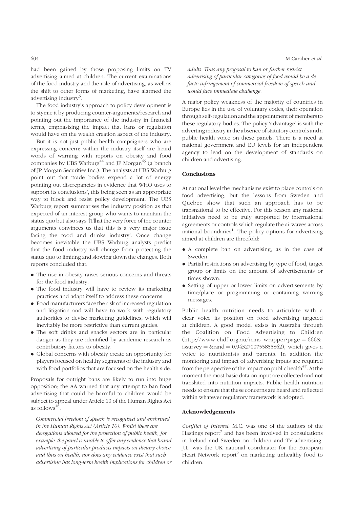had been gained by those proposing limits on TV advertising aimed at children. The current examinations of the food industry and the role of advertising, as well as the shift to other forms of marketing, have alarmed the advertising industry<sup>5</sup>.

The food industry's approach to policy development is to stymie it by producing counter-arguments/research and pointing out the importance of the industry in financial terms, emphasising the impact that bans or regulation would have on the wealth creation aspect of the industry.

But it is not just public health campaigners who are expressing concern; within the industry itself are heard words of warning with reports on obesity and food companies by UBS Warburg<sup> $\frac{4}{4}$ </sup> and JP Morgan<sup>45</sup> (a branch of JP Morgan Securities Inc.). The analysts at UBS Warburg point out that 'trade bodies expend a lot of energy pointing out discrepancies in evidence that WHO uses to support its conclusions', this being seen as an appropriate way to block and resist policy development. The UBS Warburg report summarises the industry position as that expected of an interest group who wants to maintain the status quo but also says '[T]hat the very force of the counter arguments convinces us that this is a very major issue facing the food and drinks industry'. Once change becomes inevitable the UBS Warburg analysts predict that the food industry will change from protecting the status quo to limiting and slowing down the changes. Both reports concluded that:

- . The rise in obesity raises serious concerns and threats for the food industry.
- . The food industry will have to review its marketing practices and adapt itself to address these concerns.
- . Food manufacturers face the risk of increased regulation and litigation and will have to work with regulatory authorities to devise marketing guidelines, which will inevitably be more restrictive than current guides.
- . The soft drinks and snacks sectors are in particular danger as they are identified by academic research as contributory factors to obesity.
- . Global concerns with obesity create an opportunity for players focused on healthy segments of the industry and with food portfolios that are focused on the health side.

Proposals for outright bans are likely to run into huge opposition; the AA warned that any attempt to ban food advertising that could be harmful to children would be subject to appeal under Article 10 of the Human Rights Act as follows $46$ :

Commercial freedom of speech is recognised and enshrined in the Human Rights Act (Article 10). Whilst there are derogations allowed for the protection of public health, for example, the panel is unable to offer any evidence that brand advertising of particular products impacts on dietary choice and thus on health, nor does any evidence exist that such advertising has long-term health implications for children or

604 M Caraher et al.

adults. Thus any proposal to ban or further restrict advertising of particular categories of food would be a de facto infringement of commercial freedom of speech and would face immediate challenge.

A major policy weakness of the majority of countries in Europe lies in the use of voluntary codes, their operation through self-regulation and the appointment of members to these regulatory bodies. The policy 'advantage' is with the adverting industry in the absence of statutory controls and a public health voice on these panels. There is a need at national government and EU levels for an independent agency to lead on the development of standards on children and advertising.

#### **Conclusions**

At national level the mechanisms exist to place controls on food advertising, but the lessons from Sweden and Quebec show that such an approach has to be transnational to be effective. For this reason any national initiatives need to be truly supported by international agreements or controls which regulate the airwaves across national boundaries<sup>1</sup>. The policy options for advertising aimed at children are threefold:

- . A complete ban on advertising, as in the case of Sweden.
- . Partial restrictions on advertising by type of food, target group or limits on the amount of advertisements or times shown.
- . Setting of upper or lower limits on advertisements by time/place or programming or containing warning messages.

Public health nutrition needs to articulate with a clear voice its position on food advertising targeted at children. A good model exists in Australia through the Coalition on Food Advertising to Children  $(\text{http://www.chdf.org.au/icms_wrapper?page = 666&$ issurvey =  $&$ rand = 0.9432700755855862), which gives a voice to nutritionists and parents. In addition the monitoring and impact of advertising inputs are required from the perspective of the impact on public health<sup>47</sup>. At the moment the most basic data on input are collected and not translated into nutrition impacts. Public health nutrition needs to ensure that these concerns are heard and reflected within whatever regulatory framework is adopted.

#### Acknowledgements

Conflict of interest: M.C. was one of the authors of the Hastings report<sup>7</sup> and has been involved in consultations in Ireland and Sweden on children and TV advertising. J.L. was the UK national coordinator for the European Heart Network report<sup>2</sup> on marketing unhealthy food to children.